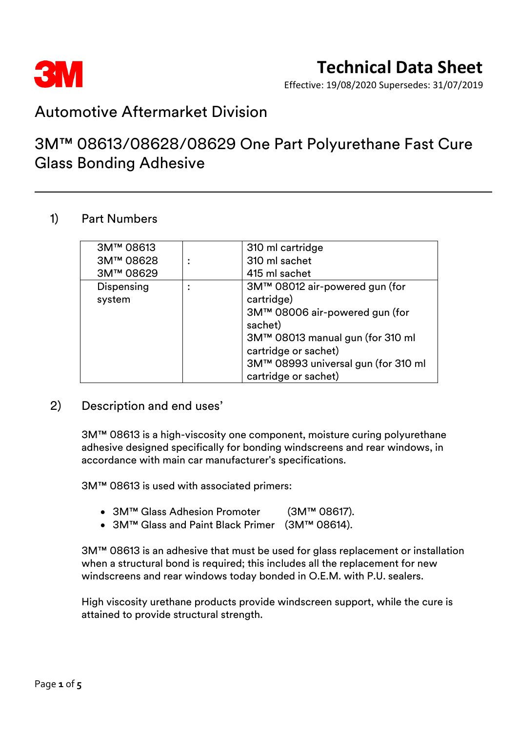

Effective: 19/08/2020 Supersedes: 31/07/2019

### Automotive Aftermarket Division

### 3M™ 08613/08628/08629 One Part Polyurethane Fast Cure Glass Bonding Adhesive

### 1) Part Numbers

| 3M™ 08613  | 310 ml cartridge                    |  |
|------------|-------------------------------------|--|
| 3M™ 08628  | 310 ml sachet                       |  |
| 3M™ 08629  | 415 ml sachet                       |  |
| Dispensing | 3M™ 08012 air-powered gun (for      |  |
| system     | cartridge)                          |  |
|            | 3M™ 08006 air-powered gun (for      |  |
|            | sachet)                             |  |
|            | 3M™ 08013 manual gun (for 310 ml    |  |
|            | cartridge or sachet)                |  |
|            | 3M™ 08993 universal gun (for 310 ml |  |
|            | cartridge or sachet)                |  |

### 2) Description and end uses'

3M™ 08613 is a high-viscosity one component, moisture curing polyurethane adhesive designed specifically for bonding windscreens and rear windows, in accordance with main car manufacturer's specifications.

3M™ 08613 is used with associated primers:

- 3M™ Glass Adhesion Promoter (3M™ 08617).
- 3M™ Glass and Paint Black Primer (3M™ 08614).

3M™ 08613 is an adhesive that must be used for glass replacement or installation when a structural bond is required; this includes all the replacement for new windscreens and rear windows today bonded in O.E.M. with P.U. sealers.

High viscosity urethane products provide windscreen support, while the cure is attained to provide structural strength.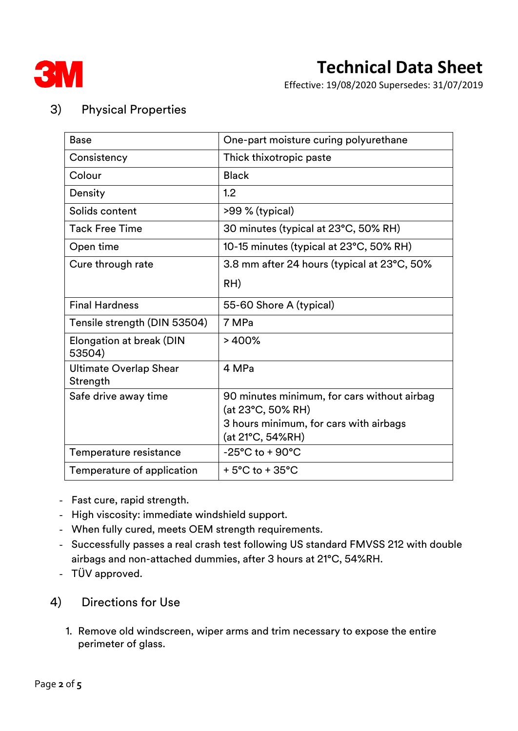

Effective: 19/08/2020 Supersedes: 31/07/2019

### 3) Physical Properties

| <b>Base</b>                               | One-part moisture curing polyurethane                                                                                          |  |
|-------------------------------------------|--------------------------------------------------------------------------------------------------------------------------------|--|
| Consistency                               | Thick thixotropic paste                                                                                                        |  |
| Colour                                    | <b>Black</b>                                                                                                                   |  |
| Density                                   | 1.2                                                                                                                            |  |
| Solids content                            | >99 % (typical)                                                                                                                |  |
| <b>Tack Free Time</b>                     | 30 minutes (typical at 23°C, 50% RH)                                                                                           |  |
| Open time                                 | 10-15 minutes (typical at 23°C, 50% RH)                                                                                        |  |
| Cure through rate                         | 3.8 mm after 24 hours (typical at 23°C, 50%                                                                                    |  |
|                                           | RH)                                                                                                                            |  |
| <b>Final Hardness</b>                     | 55-60 Shore A (typical)                                                                                                        |  |
| Tensile strength (DIN 53504)              | 7 MPa                                                                                                                          |  |
| Elongation at break (DIN<br>53504)        | >400%                                                                                                                          |  |
| <b>Ultimate Overlap Shear</b><br>Strength | 4 MPa                                                                                                                          |  |
| Safe drive away time                      | 90 minutes minimum, for cars without airbag<br>(at 23°C, 50% RH)<br>3 hours minimum, for cars with airbags<br>(at 21°C, 54%RH) |  |
| Temperature resistance                    | $-25^{\circ}$ C to + 90 $^{\circ}$ C                                                                                           |  |
| Temperature of application                | $+5^{\circ}$ C to $+35^{\circ}$ C                                                                                              |  |

- Fast cure, rapid strength.
- High viscosity: immediate windshield support.
- When fully cured, meets OEM strength requirements.
- Successfully passes a real crash test following US standard FMVSS 212 with double airbags and non-attached dummies, after 3 hours at 21°C, 54%RH.
- TÜV approved.

### 4) Directions for Use

1. Remove old windscreen, wiper arms and trim necessary to expose the entire perimeter of glass.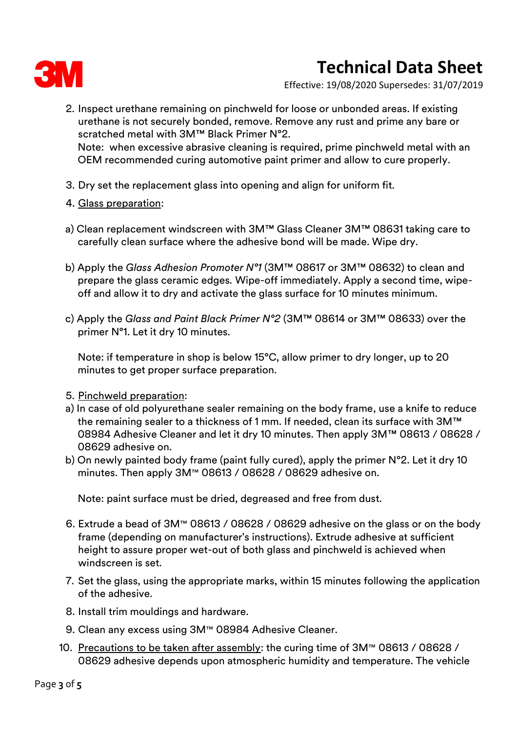

Effective: 19/08/2020 Supersedes: 31/07/2019

- 2. Inspect urethane remaining on pinchweld for loose or unbonded areas. If existing urethane is not securely bonded, remove. Remove any rust and prime any bare or scratched metal with 3M™ Black Primer N°2. Note: when excessive abrasive cleaning is required, prime pinchweld metal with an OEM recommended curing automotive paint primer and allow to cure properly.
- 3. Dry set the replacement glass into opening and align for uniform fit.
- 4. Glass preparation:
- a) Clean replacement windscreen with 3M™ Glass Cleaner 3M™ 08631 taking care to carefully clean surface where the adhesive bond will be made. Wipe dry.
- b) Apply the *Glass Adhesion Promoter N°1* (3M™ 08617 or 3M™ 08632) to clean and prepare the glass ceramic edges*.* Wipe-off immediately. Apply a second time, wipeoff and allow it to dry and activate the glass surface for 10 minutes minimum.
- c) Apply the *Glass and Paint Black Primer N°2* (3M™ 08614 or 3M™ 08633) over the primer N°1. Let it dry 10 minutes.

Note: if temperature in shop is below 15°C, allow primer to dry longer, up to 20 minutes to get proper surface preparation.

- 5. Pinchweld preparation:
- a) In case of old polyurethane sealer remaining on the body frame, use a knife to reduce the remaining sealer to a thickness of 1 mm. If needed, clean its surface with 3M™ 08984 Adhesive Cleaner and let it dry 10 minutes. Then apply 3M™ 08613 / 08628 / 08629 adhesive on.
- b) On newly painted body frame (paint fully cured), apply the primer N°2. Let it dry 10 minutes. Then apply 3M™ 08613 / 08628 / 08629 adhesive on.

Note: paint surface must be dried, degreased and free from dust.

- 6. Extrude a bead of 3M™ 08613 / 08628 / 08629 adhesive on the glass or on the body frame (depending on manufacturer's instructions). Extrude adhesive at sufficient height to assure proper wet-out of both glass and pinchweld is achieved when windscreen is set.
- 7. Set the glass, using the appropriate marks, within 15 minutes following the application of the adhesive.
- 8. Install trim mouldings and hardware.
- 9. Clean any excess using 3M™ 08984 Adhesive Cleaner.
- 10. Precautions to be taken after assembly: the curing time of 3M™ 08613 / 08628 / 08629 adhesive depends upon atmospheric humidity and temperature. The vehicle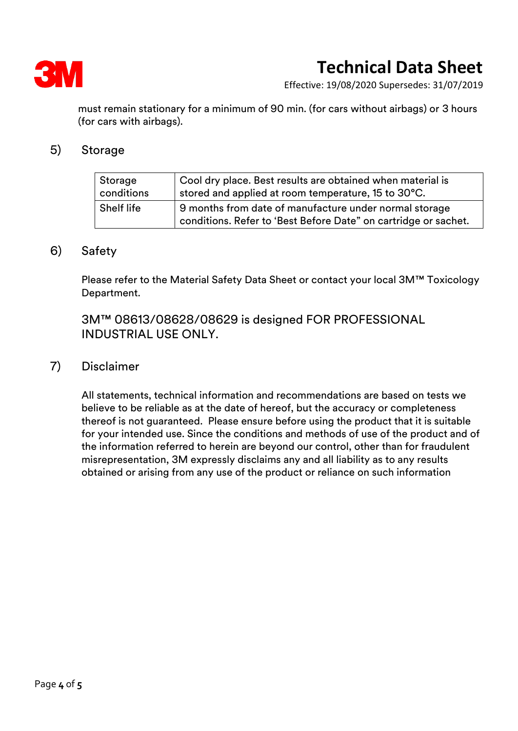

Effective: 19/08/2020 Supersedes: 31/07/2019

must remain stationary for a minimum of 90 min. (for cars without airbags) or 3 hours (for cars with airbags).

#### 5) Storage

| Storage    | Cool dry place. Best results are obtained when material is                                                                |
|------------|---------------------------------------------------------------------------------------------------------------------------|
| conditions | stored and applied at room temperature, 15 to 30°C.                                                                       |
| Shelf life | 9 months from date of manufacture under normal storage<br>conditions. Refer to 'Best Before Date" on cartridge or sachet. |

#### 6) Safety

Please refer to the Material Safety Data Sheet or contact your local 3M™ Toxicology Department.

3M™ 08613/08628/08629 is designed FOR PROFESSIONAL INDUSTRIAL USE ONLY.

#### 7) Disclaimer

All statements, technical information and recommendations are based on tests we believe to be reliable as at the date of hereof, but the accuracy or completeness thereof is not guaranteed. Please ensure before using the product that it is suitable for your intended use. Since the conditions and methods of use of the product and of the information referred to herein are beyond our control, other than for fraudulent misrepresentation, 3M expressly disclaims any and all liability as to any results obtained or arising from any use of the product or reliance on such information